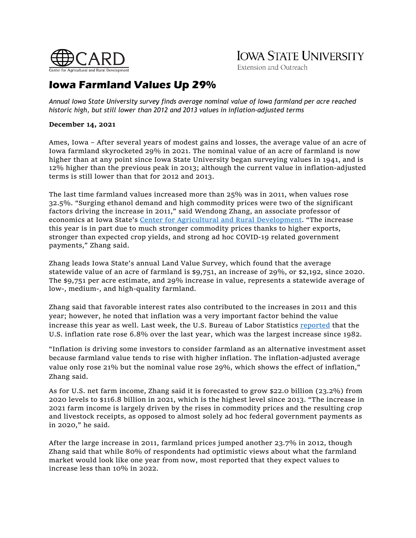

# **IOWA STATE UNIVERSITY**

Extension and Outreach

# **Iowa Farmland Values Up 29%**

*Annual Iowa State University survey finds average nominal value of Iowa farmland per acre reached historic high, but still lower than 2012 and 2013 values in inflation-adjusted terms*

# **December 14, 2021**

Ames, Iowa – After several years of modest gains and losses, the average value of an acre of Iowa farmland skyrocketed 29% in 2021. The nominal value of an acre of farmland is now higher than at any point since Iowa State University began surveying values in 1941, and is 12% higher than the previous peak in 2013; although the current value in inflation-adjusted terms is still lower than that for 2012 and 2013.

The last time farmland values increased more than 25% was in 2011, when values rose 32.5%. "Surging ethanol demand and high commodity prices were two of the significant factors driving the increase in 2011," said Wendong Zhang, an associate professor of economics at Iowa State's Center for Agricultural [and Rural Development.](https://www.card.iastate.edu/) "The increase this year is in part due to much stronger commodity prices thanks to higher exports, stronger than expected crop yields, and strong ad hoc COVID-19 related government payments," Zhang said.

Zhang leads Iowa State's annual Land Value Survey, which found that the average statewide value of an acre of farmland is \$9,751, an increase of 29%, or \$2,192, since 2020. The \$9,751 per acre estimate, and 29% increase in value, represents a statewide average of low-, medium-, and high-quality farmland.

Zhang said that favorable interest rates also contributed to the increases in 2011 and this year; however, he noted that inflation was a very important factor behind the value increase this year as well. Last week, the U.S. Bureau of Labor Statistics [reported](https://www.bls.gov/news.release/cpi.nr0.htm) that the U.S. inflation rate rose 6.8% over the last year, which was the largest increase since 1982.

"Inflation is driving some investors to consider farmland as an alternative investment asset because farmland value tends to rise with higher inflation. The inflation-adjusted average value only rose 21% but the nominal value rose 29%, which shows the effect of inflation," Zhang said.

As for U.S. net farm income, Zhang said it is forecasted to grow \$22.0 billion (23.2%) from 2020 levels to \$116.8 billion in 2021, which is the highest level since 2013. "The increase in 2021 farm income is largely driven by the rises in commodity prices and the resulting crop and livestock receipts, as opposed to almost solely ad hoc federal government payments as in 2020," he said.

After the large increase in 2011, farmland prices jumped another 23.7% in 2012, though Zhang said that while 80% of respondents had optimistic views about what the farmland market would look like one year from now, most reported that they expect values to increase less than 10% in 2022.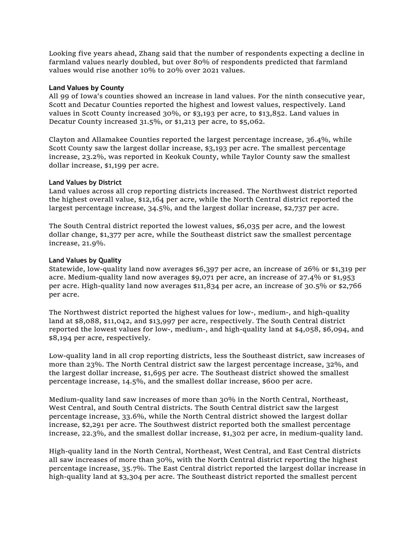Looking five years ahead, Zhang said that the number of respondents expecting a decline in farmland values nearly doubled, but over 80% of respondents predicted that farmland values would rise another 10% to 20% over 2021 values.

### **Land Values by County**

All 99 of Iowa's counties showed an increase in land values. For the ninth consecutive year, Scott and Decatur Counties reported the highest and lowest values, respectively. Land values in Scott County increased 30%, or \$3,193 per acre, to \$13,852. Land values in Decatur County increased 31.5%, or \$1,213 per acre, to \$5,062.

Clayton and Allamakee Counties reported the largest percentage increase, 36.4%, while Scott County saw the largest dollar increase, \$3,193 per acre. The smallest percentage increase, 23.2%, was reported in Keokuk County, while Taylor County saw the smallest dollar increase, \$1,199 per acre.

#### **Land Values by District**

Land values across all crop reporting districts increased. The Northwest district reported the highest overall value, \$12,164 per acre, while the North Central district reported the largest percentage increase, 34.5%, and the largest dollar increase, \$2,737 per acre.

The South Central district reported the lowest values, \$6,035 per acre, and the lowest dollar change, \$1,377 per acre, while the Southeast district saw the smallest percentage increase, 21.9%.

#### **Land Values by Quality**

Statewide, low-quality land now averages \$6,397 per acre, an increase of 26% or \$1,319 per acre. Medium-quality land now averages \$9,071 per acre, an increase of 27.4% or \$1,953 per acre. High-quality land now averages \$11,834 per acre, an increase of 30.5% or \$2,766 per acre.

The Northwest district reported the highest values for low-, medium-, and high-quality land at \$8,088, \$11,042, and \$13,997 per acre, respectively. The South Central district reported the lowest values for low-, medium-, and high-quality land at \$4,058, \$6,094, and \$8,194 per acre, respectively.

Low-quality land in all crop reporting districts, less the Southeast district, saw increases of more than 23%. The North Central district saw the largest percentage increase, 32%, and the largest dollar increase, \$1,695 per acre. The Southeast district showed the smallest percentage increase, 14.5%, and the smallest dollar increase, \$600 per acre.

Medium-quality land saw increases of more than 30% in the North Central, Northeast, West Central, and South Central districts. The South Central district saw the largest percentage increase, 33.6%, while the North Central district showed the largest dollar increase, \$2,291 per acre. The Southwest district reported both the smallest percentage increase, 22.3%, and the smallest dollar increase, \$1,302 per acre, in medium-quality land.

High-quality land in the North Central, Northeast, West Central, and East Central districts all saw increases of more than 30%, with the North Central district reporting the highest percentage increase, 35.7%. The East Central district reported the largest dollar increase in high-quality land at \$3,304 per acre. The Southeast district reported the smallest percent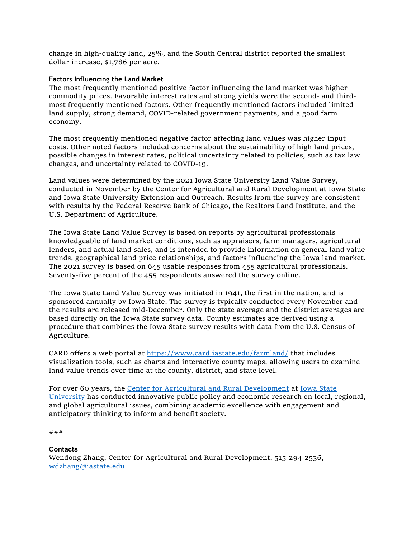change in high-quality land, 25%, and the South Central district reported the smallest dollar increase, \$1,786 per acre.

# **Factors Influencing the Land Market**

The most frequently mentioned positive factor influencing the land market was higher commodity prices. Favorable interest rates and strong yields were the second- and thirdmost frequently mentioned factors. Other frequently mentioned factors included limited land supply, strong demand, COVID-related government payments, and a good farm economy.

The most frequently mentioned negative factor affecting land values was higher input costs. Other noted factors included concerns about the sustainability of high land prices, possible changes in interest rates, political uncertainty related to policies, such as tax law changes, and uncertainty related to COVID-19.

Land values were determined by the 2021 Iowa State University Land Value Survey, conducted in November by the Center for Agricultural and Rural Development at Iowa State and Iowa State University Extension and Outreach. Results from the survey are consistent with results by the Federal Reserve Bank of Chicago, the Realtors Land Institute, and the U.S. Department of Agriculture.

The Iowa State Land Value Survey is based on reports by agricultural professionals knowledgeable of land market conditions, such as appraisers, farm managers, agricultural lenders, and actual land sales, and is intended to provide information on general land value trends, geographical land price relationships, and factors influencing the Iowa land market. The 2021 survey is based on 645 usable responses from 455 agricultural professionals. Seventy-five percent of the 455 respondents answered the survey online.

The Iowa State Land Value Survey was initiated in 1941, the first in the nation, and is sponsored annually by Iowa State. The survey is typically conducted every November and the results are released mid-December. Only the state average and the district averages are based directly on the Iowa State survey data. County estimates are derived using a procedure that combines the Iowa State survey results with data from the U.S. Census of Agriculture.

CARD offers a web portal at<https://www.card.iastate.edu/farmland/> that includes visualization tools, such as charts and interactive county maps, allowing users to examine land value trends over time at the county, district, and state level.

For over 60 years, the [Center for Agricultural and Rural Development](https://www.card.iastate.edu/) at Iowa State [University](https://www.iastate.edu/) has conducted innovative public policy and economic research on local, regional, and global agricultural issues, combining academic excellence with engagement and anticipatory thinking to inform and benefit society.

```
###
```
**Contacts** Wendong Zhang, Center for Agricultural and Rural Development, 515-294-2536, [wdzhang@iastate.edu](mailto:wdzhang@iastate.edu)